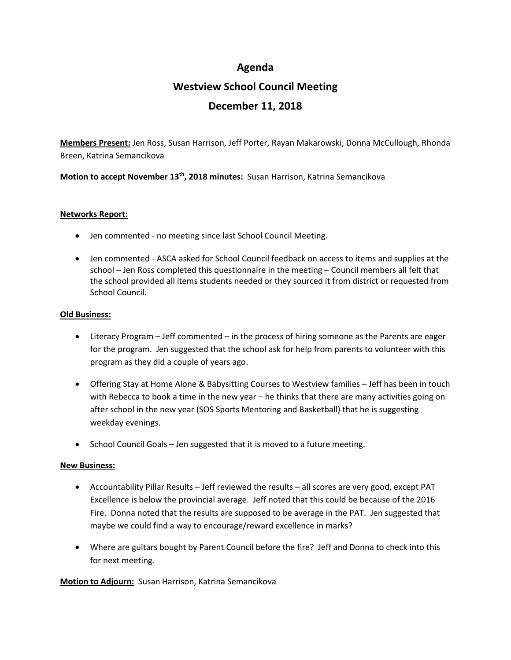# **Agenda**

# **Westview School Council Meeting December 11, 2018**

**Members Present:** Jen Ross, Susan Harrison, Jeff Porter, Rayan Makarowski, Donna McCullough, Rhonda Breen, Katrina Semancikova

**Motion to accept November 13th , 2018 minutes:** Susan Harrison, Katrina Semancikova

# **Networks Report:**

- Jen commented no meeting since last School Council Meeting.
- Jen commented ASCA asked for School Council feedback on access to items and supplies at the school – Jen Ross completed this questionnaire in the meeting – Council members all felt that the school provided all items students needed or they sourced it from district or requested from School Council.

# **Old Business:**

- Literacy Program Jeff commented in the process of hiring someone as the Parents are eager for the program. Jen suggested that the school ask for help from parents to volunteer with this program as they did a couple of years ago.
- Offering Stay at Home Alone & Babysitting Courses to Westview families Jeff has been in touch with Rebecca to book a time in the new year – he thinks that there are many activities going on after school in the new year (SOS Sports Mentoring and Basketball) that he is suggesting weekday evenings.
- School Council Goals Jen suggested that it is moved to a future meeting.

# **New Business:**

- Accountability Pillar Results Jeff reviewed the results all scores are very good, except PAT Excellence is below the provincial average. Jeff noted that this could be because of the 2016 Fire. Donna noted that the results are supposed to be average in the PAT. Jen suggested that maybe we could find a way to encourage/reward excellence in marks?
- Where are guitars bought by Parent Council before the fire? Jeff and Donna to check into this for next meeting.

**Motion to Adjourn:** Susan Harrison, Katrina Semancikova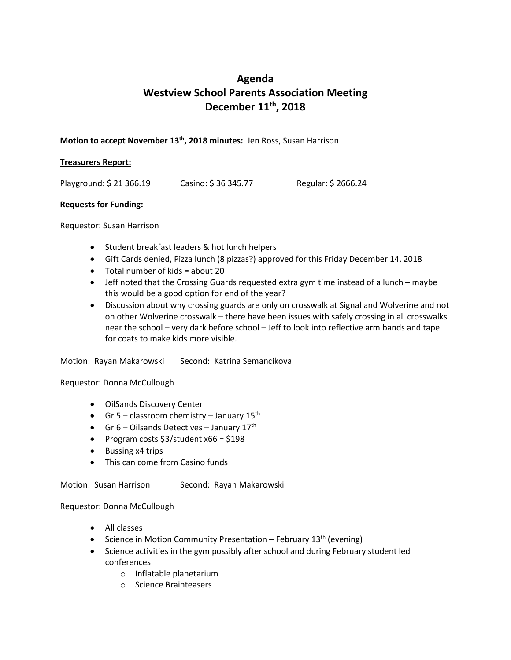# **Agenda Westview School Parents Association Meeting December 11 th , 2018**

# **Motion to accept November 13th , 2018 minutes:** Jen Ross, Susan Harrison

#### **Treasurers Report:**

Playground: \$21 366.19 Casino: \$36 345.77 Regular: \$2666.24

#### **Requests for Funding:**

Requestor: Susan Harrison

- Student breakfast leaders & hot lunch helpers
- Gift Cards denied, Pizza lunch (8 pizzas?) approved for this Friday December 14, 2018
- $\bullet$  Total number of kids = about 20
- Jeff noted that the Crossing Guards requested extra gym time instead of a lunch maybe this would be a good option for end of the year?
- Discussion about why crossing guards are only on crosswalk at Signal and Wolverine and not on other Wolverine crosswalk – there have been issues with safely crossing in all crosswalks near the school – very dark before school – Jeff to look into reflective arm bands and tape for coats to make kids more visible.

Motion: Rayan Makarowski Second: Katrina Semancikova

Requestor: Donna McCullough

- OilSands Discovery Center
- Gr 5 classroom chemistry January  $15^{th}$
- Gr 6 Oilsands Detectives January  $17<sup>th</sup>$
- Program costs \$3/student x66 = \$198
- Bussing x4 trips
- This can come from Casino funds

Motion: Susan Harrison Second: Rayan Makarowski

Requestor: Donna McCullough

- All classes
- Science in Motion Community Presentation February  $13<sup>th</sup>$  (evening)
- Science activities in the gym possibly after school and during February student led conferences
	- o Inflatable planetarium
	- o Science Brainteasers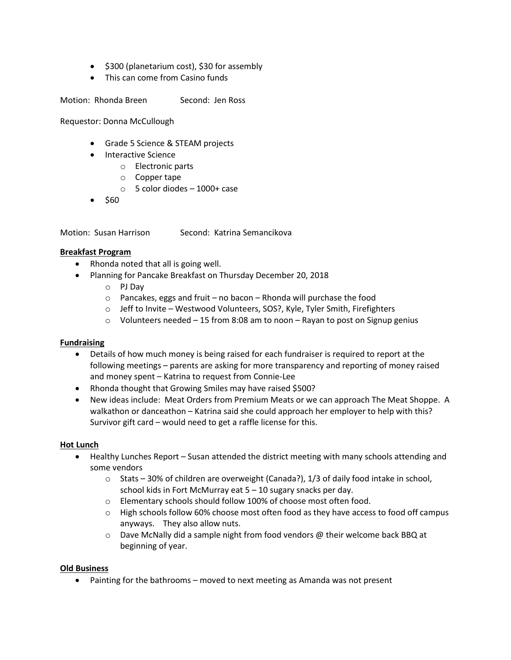- \$300 (planetarium cost), \$30 for assembly
- This can come from Casino funds

Motion: Rhonda Breen Second: Jen Ross

Requestor: Donna McCullough

- Grade 5 Science & STEAM projects
- Interactive Science
	- o Electronic parts
	- o Copper tape
	- $\circ$  5 color diodes 1000+ case
- \$60

Motion: Susan Harrison Second: Katrina Semancikova

#### **Breakfast Program**

- Rhonda noted that all is going well.
- Planning for Pancake Breakfast on Thursday December 20, 2018
	- o PJ Day
	- o Pancakes, eggs and fruit no bacon Rhonda will purchase the food
	- o Jeff to Invite Westwood Volunteers, SOS?, Kyle, Tyler Smith, Firefighters
	- $\circ$  Volunteers needed 15 from 8:08 am to noon Rayan to post on Signup genius

## **Fundraising**

- Details of how much money is being raised for each fundraiser is required to report at the following meetings – parents are asking for more transparency and reporting of money raised and money spent – Katrina to request from Connie-Lee
- Rhonda thought that Growing Smiles may have raised \$500?
- New ideas include: Meat Orders from Premium Meats or we can approach The Meat Shoppe. A walkathon or danceathon – Katrina said she could approach her employer to help with this? Survivor gift card – would need to get a raffle license for this.

## **Hot Lunch**

- Healthy Lunches Report Susan attended the district meeting with many schools attending and some vendors
	- $\circ$  Stats 30% of children are overweight (Canada?), 1/3 of daily food intake in school, school kids in Fort McMurray eat 5 – 10 sugary snacks per day.
	- o Elementary schools should follow 100% of choose most often food.
	- $\circ$  High schools follow 60% choose most often food as they have access to food off campus anyways. They also allow nuts.
	- $\circ$  Dave McNally did a sample night from food vendors @ their welcome back BBQ at beginning of year.

## **Old Business**

• Painting for the bathrooms – moved to next meeting as Amanda was not present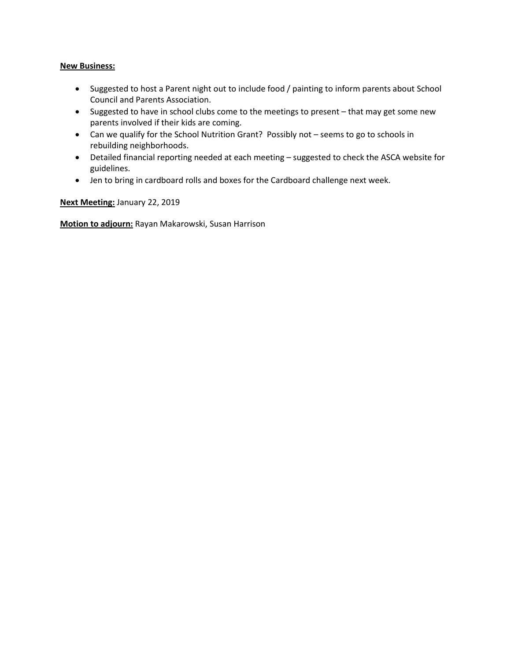#### **New Business:**

- Suggested to host a Parent night out to include food / painting to inform parents about School Council and Parents Association.
- Suggested to have in school clubs come to the meetings to present that may get some new parents involved if their kids are coming.
- Can we qualify for the School Nutrition Grant? Possibly not seems to go to schools in rebuilding neighborhoods.
- Detailed financial reporting needed at each meeting suggested to check the ASCA website for guidelines.
- Jen to bring in cardboard rolls and boxes for the Cardboard challenge next week.

**Next Meeting:** January 22, 2019

**Motion to adjourn:** Rayan Makarowski, Susan Harrison